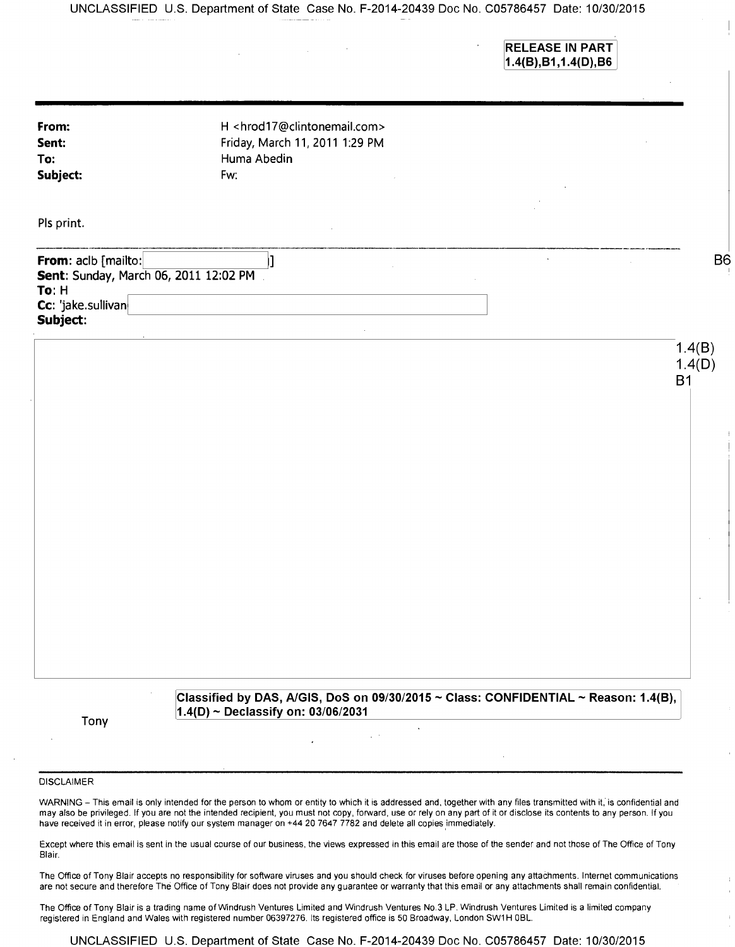UNCLASSIFIED U.S. Department of State Case No. F-2014-20439 Doc No. C05786457 Date: 10/30/2015

RELEASE IN PART 1.4(B),B1,1.4(D),B6

 $\overline{\phantom{a}}$ 

| From:<br>Sent:<br>To:<br>Subject:                                                                       | H <hrod17@clintonemail.com><br/>Friday, March 11, 2011 1:29 PM<br/>Huma Abedin<br/>Fw:</hrod17@clintonemail.com>               |  |                               |
|---------------------------------------------------------------------------------------------------------|--------------------------------------------------------------------------------------------------------------------------------|--|-------------------------------|
| Pls print.                                                                                              |                                                                                                                                |  |                               |
| From: aclb [mailto:<br>Sent: Sunday, March 06, 2011 12:02 PM<br>To: H<br>Cc: 'jake.sullivan<br>Subject: |                                                                                                                                |  | B <sub>6</sub>                |
|                                                                                                         |                                                                                                                                |  | 1.4(B)<br>1.4(D)<br><b>B1</b> |
|                                                                                                         |                                                                                                                                |  |                               |
|                                                                                                         |                                                                                                                                |  |                               |
|                                                                                                         |                                                                                                                                |  |                               |
|                                                                                                         |                                                                                                                                |  |                               |
| Tony                                                                                                    | Classified by DAS, A/GIS, DoS on 09/30/2015 ~ Class: CONFIDENTIAL ~ Reason: 1.4(B),<br>$1.4(D) \sim$ Declassify on: 03/06/2031 |  |                               |

## DISCLAIMER

WARNING - This email is only intended for the person to whom or entity to which it is addressed and, together with any files transmitted with it, is confidential and may also be privileged. If you are not the intended recipient, you must not copy, forward, use or rely on any part of it or disclose its contents to any person. If you have received it in error, please notify our system manager on +44 20 7647 7782 and delete all copies immediately.

Except where this email is sent in the usual course of our business, the views expressed in this email are those of the sender and not those of The Office of Tony Blair.

The Office of Tony Blair accepts no responsibility for software viruses and you should check for viruses before opening any attachments. Internet communications are not secure and therefore The Office of Tony Blair does not provide any guarantee or warranty that this email or any attachments shall remain confidential.

The Office of Tony Blair is a trading name of Windrush Ventures Limited and Windrush Ventures No.3 LP. Windrush Ventures Limited is a limited company registered in England and Wales with registered number 06397276. Its registered office is 50 Broadway, London SW1 H OBL.